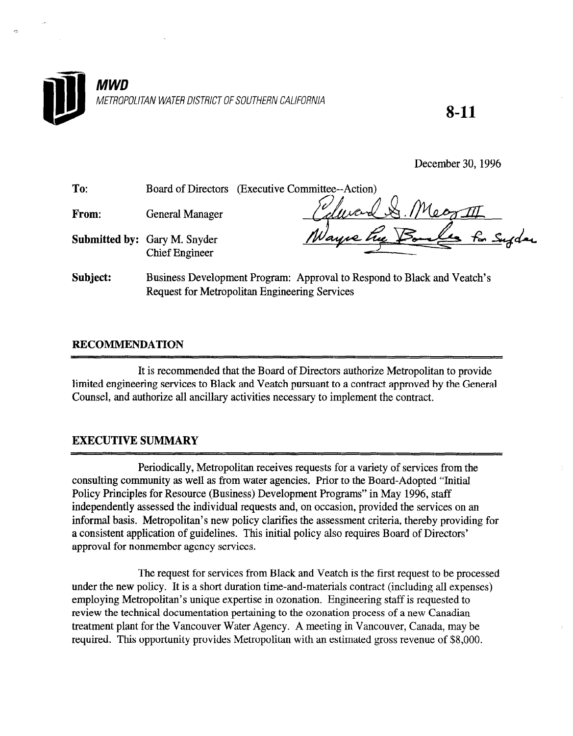

8-11

December 30,1996

| To:   |                                                              | Board of Directors (Executive Committee--Action) |
|-------|--------------------------------------------------------------|--------------------------------------------------|
| From: | <b>General Manager</b>                                       | 1 & Megatt                                       |
|       | <b>Submitted by: Gary M. Snyder</b><br><b>Chief Engineer</b> | Nayne hue Bone.<br><u>for Supplace</u>           |

Subject: Business Development Program: Approval to Respond to Black and Veatch's Request for Metropolitan Engineering Services

## RECOMMENDATION

It is recommended that the Board of Directors authorize Metropolitan to provide limited to Black and Vergineering services to Black and Vergineering to a contract approved by the General by the General by the General by the General by the General by the General by the General by the General by the Gen minica consulcting services to black and veach pursuant to a contract approved

## EXECUTIVE SUMMARY

Periodically, Metropolitan receives requests for a variety of services from the renoulearly, well opolitant lecelves fequests for a variety of services from t consulting community as well as from water agencies. Prior to the Board-Adopted "Initial" Policy Principles for Resource (Business) Development Programs" in May 1996, staff independently assessed the individual requests and, on occasion, provided the services on an informal basis. Metropolitan's new policy clarifies the assessment criteria, thereby providing for a consistent application of guidelines. This initial policy also requires Board of Directors' approval for nonmember agency services.

The request for services from Black and Veatch is the first request to be processed under the new policy. It is a short duration time-and-materials contract (including all expenses) employing Metropolitan's unique expertise in ozonation. Engineering staff is requested to review the technical documentation pertaining to the ozonation process of a new Canadian treatment plant for the Vancouver Water Agency. A meeting in Vancouver, Canada, may be required. This opportunity provides Metropolitan with an estimated gross revenue of \$8,000.